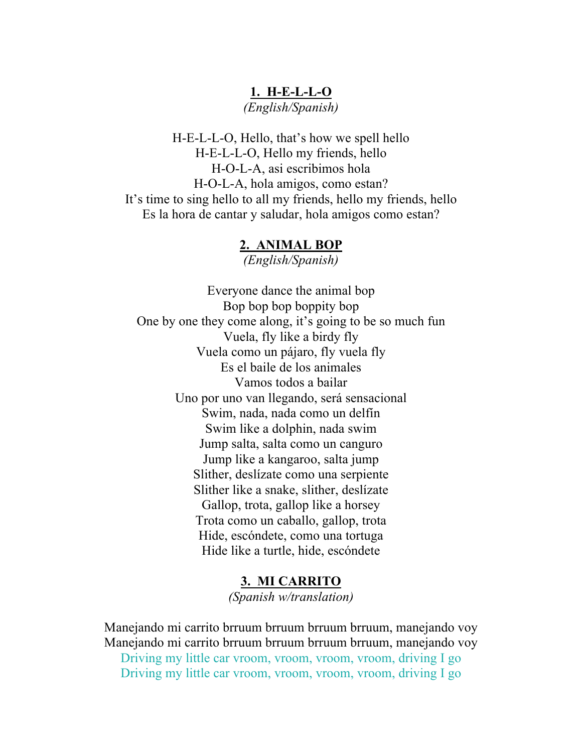# **1. H-E-L-L-O** *(English/Spanish)*

H-E-L-L-O, Hello, that's how we spell hello H-E-L-L-O, Hello my friends, hello H-O-L-A, asi escribimos hola H-O-L-A, hola amigos, como estan? It's time to sing hello to all my friends, hello my friends, hello Es la hora de cantar y saludar, hola amigos como estan?

#### **2. ANIMAL BOP**

*(English/Spanish)*

Everyone dance the animal bop Bop bop bop boppity bop One by one they come along, it's going to be so much fun Vuela, fly like a birdy fly Vuela como un pájaro, fly vuela fly Es el baile de los animales Vamos todos a bailar Uno por uno van llegando, será sensacional Swim, nada, nada como un delfín Swim like a dolphin, nada swim Jump salta, salta como un canguro Jump like a kangaroo, salta jump Slither, deslízate como una serpiente Slither like a snake, slither, deslízate Gallop, trota, gallop like a horsey Trota como un caballo, gallop, trota Hide, escóndete, como una tortuga Hide like a turtle, hide, escóndete

> **3. MI CARRITO** *(Spanish w/translation)*

Manejando mi carrito brruum brruum brruum brruum, manejando voy Manejando mi carrito brruum brruum brruum brruum, manejando voy Driving my little car vroom, vroom, vroom, vroom, driving I go Driving my little car vroom, vroom, vroom, vroom, driving I go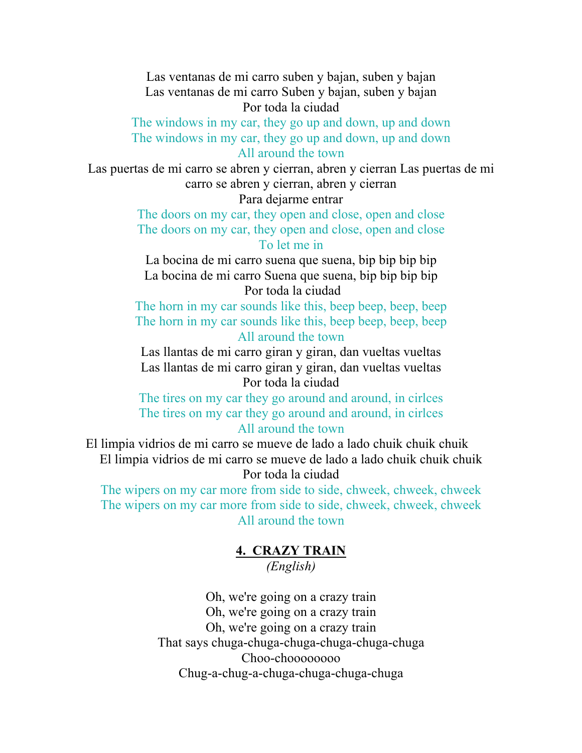Las ventanas de mi carro suben y bajan, suben y bajan Las ventanas de mi carro Suben y bajan, suben y bajan Por toda la ciudad

The windows in my car, they go up and down, up and down The windows in my car, they go up and down, up and down All around the town

Las puertas de mi carro se abren y cierran, abren y cierran Las puertas de mi carro se abren y cierran, abren y cierran

Para dejarme entrar

The doors on my car, they open and close, open and close The doors on my car, they open and close, open and close To let me in

La bocina de mi carro suena que suena, bip bip bip bip La bocina de mi carro Suena que suena, bip bip bip bip Por toda la ciudad

The horn in my car sounds like this, beep beep, beep, beep The horn in my car sounds like this, beep beep, beep, beep All around the town

Las llantas de mi carro giran y giran, dan vueltas vueltas Las llantas de mi carro giran y giran, dan vueltas vueltas Por toda la ciudad

The tires on my car they go around and around, in cirlces The tires on my car they go around and around, in cirlces All around the town

El limpia vidrios de mi carro se mueve de lado a lado chuik chuik chuik El limpia vidrios de mi carro se mueve de lado a lado chuik chuik chuik Por toda la ciudad

The wipers on my car more from side to side, chweek, chweek, chweek The wipers on my car more from side to side, chweek, chweek, chweek All around the town

## **4. CRAZY TRAIN** *(English)*

Oh, we're going on a crazy train Oh, we're going on a crazy train Oh, we're going on a crazy train That says chuga-chuga-chuga-chuga-chuga-chuga Choo-choooooooo Chug-a-chug-a-chuga-chuga-chuga-chuga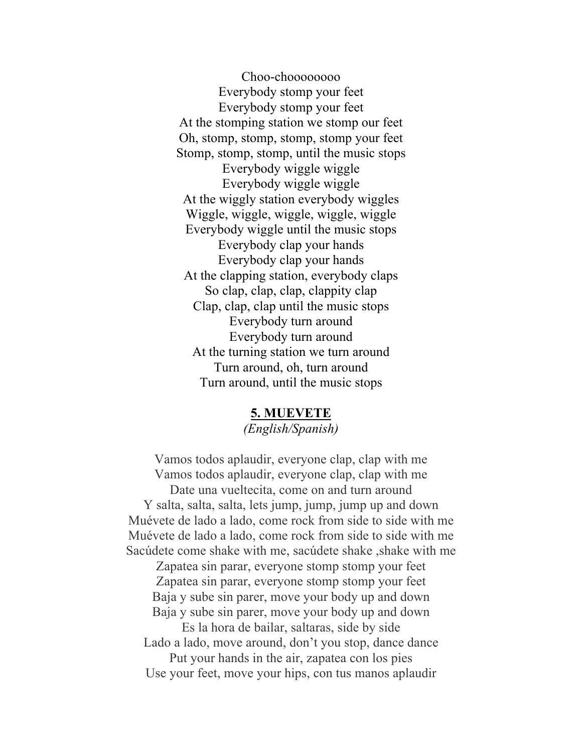Choo-choooooooo Everybody stomp your feet Everybody stomp your feet At the stomping station we stomp our feet Oh, stomp, stomp, stomp, stomp your feet Stomp, stomp, stomp, until the music stops Everybody wiggle wiggle Everybody wiggle wiggle At the wiggly station everybody wiggles Wiggle, wiggle, wiggle, wiggle, wiggle Everybody wiggle until the music stops Everybody clap your hands Everybody clap your hands At the clapping station, everybody claps So clap, clap, clap, clappity clap Clap, clap, clap until the music stops Everybody turn around Everybody turn around At the turning station we turn around Turn around, oh, turn around Turn around, until the music stops

#### **5. MUEVETE**

*(English/Spanish)*

Vamos todos aplaudir, everyone clap, clap with me Vamos todos aplaudir, everyone clap, clap with me Date una vueltecita, come on and turn around Y salta, salta, salta, lets jump, jump, jump up and down Muévete de lado a lado, come rock from side to side with me Muévete de lado a lado, come rock from side to side with me Sacúdete come shake with me, sacúdete shake , shake with me Zapatea sin parar, everyone stomp stomp your feet Zapatea sin parar, everyone stomp stomp your feet Baja y sube sin parer, move your body up and down Baja y sube sin parer, move your body up and down Es la hora de bailar, saltaras, side by side Lado a lado, move around, don't you stop, dance dance Put your hands in the air, zapatea con los pies Use your feet, move your hips, con tus manos aplaudir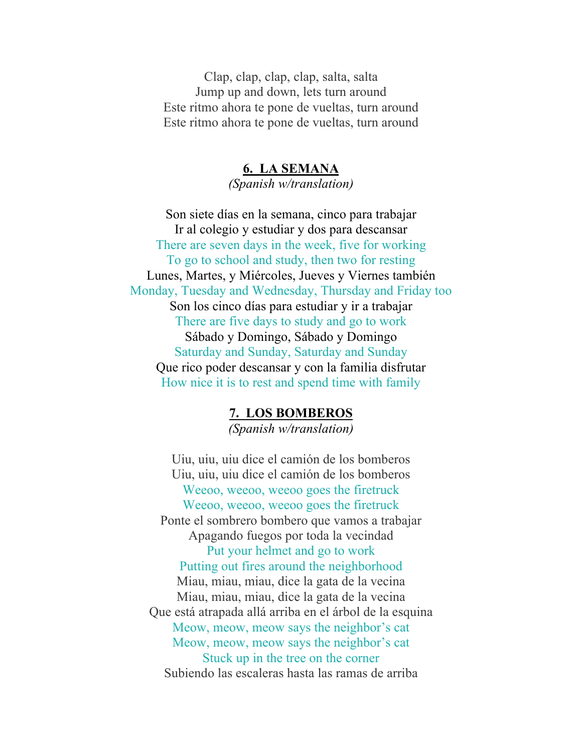Clap, clap, clap, clap, salta, salta Jump up and down, lets turn around Este ritmo ahora te pone de vueltas, turn around Este ritmo ahora te pone de vueltas, turn around

## **6. LA SEMANA**

*(Spanish w/translation)*

Son siete días en la semana, cinco para trabajar Ir al colegio y estudiar y dos para descansar There are seven days in the week, five for working To go to school and study, then two for resting Lunes, Martes, y Miércoles, Jueves y Viernes también Monday, Tuesday and Wednesday, Thursday and Friday too Son los cinco días para estudiar y ir a trabajar There are five days to study and go to work Sábado y Domingo, Sábado y Domingo Saturday and Sunday, Saturday and Sunday Que rico poder descansar y con la familia disfrutar How nice it is to rest and spend time with family

#### **7. LOS BOMBEROS**

*(Spanish w/translation)*

Uiu, uiu, uiu dice el camión de los bomberos Uiu, uiu, uiu dice el camión de los bomberos Weeoo, weeoo, weeoo goes the firetruck Weeoo, weeoo, weeoo goes the firetruck Ponte el sombrero bombero que vamos a trabajar Apagando fuegos por toda la vecindad Put your helmet and go to work Putting out fires around the neighborhood Miau, miau, miau, dice la gata de la vecina Miau, miau, miau, dice la gata de la vecina Que está atrapada allá arriba en el árbol de la esquina Meow, meow, meow says the neighbor's cat Meow, meow, meow says the neighbor's cat Stuck up in the tree on the corner Subiendo las escaleras hasta las ramas de arriba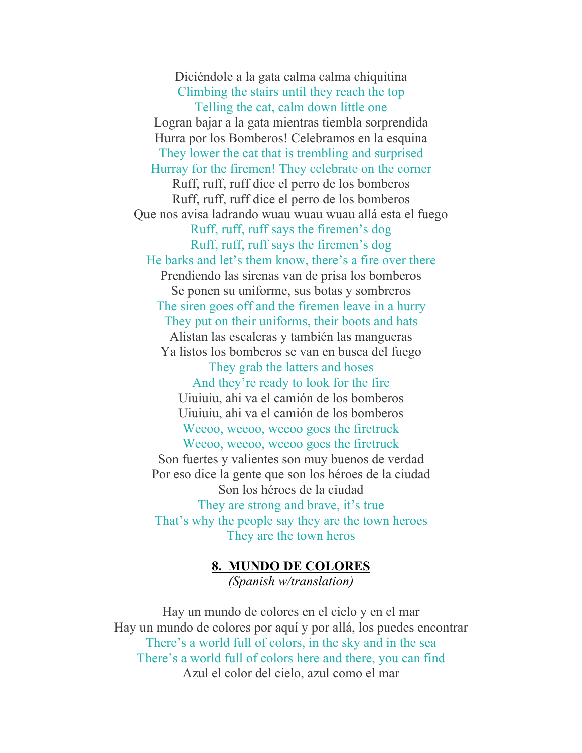Diciéndole a la gata calma calma chiquitina Climbing the stairs until they reach the top Telling the cat, calm down little one Logran bajar a la gata mientras tiembla sorprendida Hurra por los Bomberos! Celebramos en la esquina They lower the cat that is trembling and surprised Hurray for the firemen! They celebrate on the corner Ruff, ruff, ruff dice el perro de los bomberos Ruff, ruff, ruff dice el perro de los bomberos Que nos avisa ladrando wuau wuau wuau allá esta el fuego Ruff, ruff, ruff says the firemen's dog Ruff, ruff, ruff says the firemen's dog He barks and let's them know, there's a fire over there Prendiendo las sirenas van de prisa los bomberos Se ponen su uniforme, sus botas y sombreros The siren goes off and the firemen leave in a hurry They put on their uniforms, their boots and hats Alistan las escaleras y también las mangueras Ya listos los bomberos se van en busca del fuego They grab the latters and hoses And they're ready to look for the fire Uiuiuiu, ahi va el camión de los bomberos Uiuiuiu, ahi va el camión de los bomberos Weeoo, weeoo, weeoo goes the firetruck Weeoo, weeoo, weeoo goes the firetruck Son fuertes y valientes son muy buenos de verdad Por eso dice la gente que son los héroes de la ciudad Son los héroes de la ciudad They are strong and brave, it's true That's why the people say they are the town heroes They are the town heros

**8. MUNDO DE COLORES**

*(Spanish w/translation)*

Hay un mundo de colores en el cielo y en el mar Hay un mundo de colores por aquí y por allá, los puedes encontrar There's a world full of colors, in the sky and in the sea There's a world full of colors here and there, you can find Azul el color del cielo, azul como el mar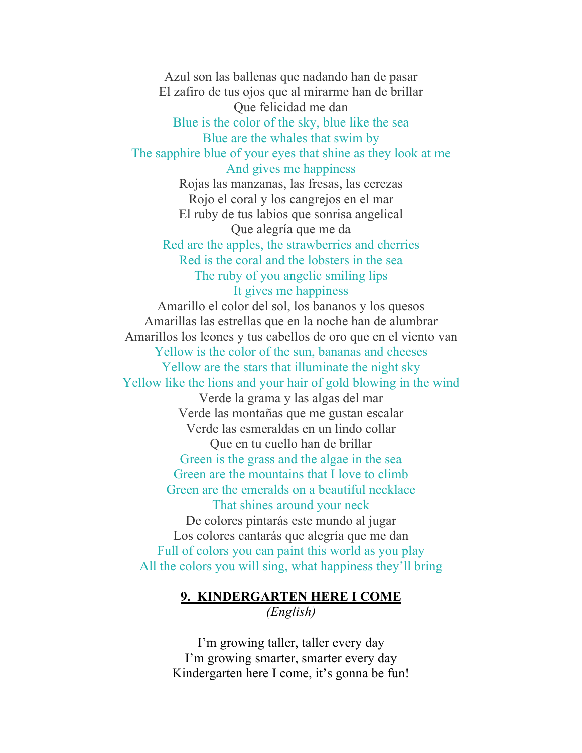## Azul son las ballenas que nadando han de pasar El zafiro de tus ojos que al mirarme han de brillar Que felicidad me dan Blue is the color of the sky, blue like the sea Blue are the whales that swim by The sapphire blue of your eyes that shine as they look at me And gives me happiness

Rojas las manzanas, las fresas, las cerezas Rojo el coral y los cangrejos en el mar El ruby de tus labios que sonrisa angelical Que alegría que me da Red are the apples, the strawberries and cherries Red is the coral and the lobsters in the sea The ruby of you angelic smiling lips

#### It gives me happiness

Amarillo el color del sol, los bananos y los quesos Amarillas las estrellas que en la noche han de alumbrar Amarillos los leones y tus cabellos de oro que en el viento van Yellow is the color of the sun, bananas and cheeses Yellow are the stars that illuminate the night sky Yellow like the lions and your hair of gold blowing in the wind

Verde la grama y las algas del mar Verde las montañas que me gustan escalar Verde las esmeraldas en un lindo collar Que en tu cuello han de brillar Green is the grass and the algae in the sea Green are the mountains that I love to climb Green are the emeralds on a beautiful necklace That shines around your neck De colores pintarás este mundo al jugar Los colores cantarás que alegría que me dan Full of colors you can paint this world as you play All the colors you will sing, what happiness they'll bring

## **9. KINDERGARTEN HERE I COME** *(English)*

I'm growing taller, taller every day I'm growing smarter, smarter every day Kindergarten here I come, it's gonna be fun!